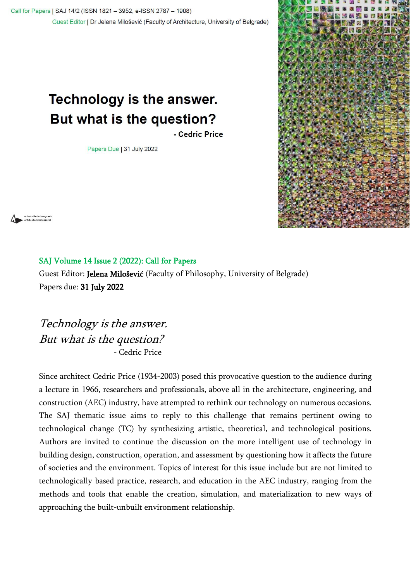Call for Papers | SAJ 14/2 (ISSN 1821 - 3952, e-ISSN 2787 - 1908) Guest Editor | Dr Jelena Milošević (Faculty of Architecture, University of Belgrade)

## **Technology is the answer.** But what is the question?

- Cedric Price

Papers Due | 31 July 2022



univerzitet u beograd<br>arhitektonski fakultet

## SAJ Volume 14 Issue 2 (2022): Call for Papers

Guest Editor: Jelena Milošević (Faculty of Philosophy, University of Belgrade) Papers due: 31 July 2022

Technology is the answer. But what is the question? - Cedric Price

Since architect Cedric Price (1934-2003) posed this provocative question to the audience during a lecture in 1966, researchers and professionals, above all in the architecture, engineering, and construction (AEC) industry, have attempted to rethink our technology on numerous occasions. The SAJ thematic issue aims to reply to this challenge that remains pertinent owing to technological change (TC) by synthesizing artistic, theoretical, and technological positions. Authors are invited to continue the discussion on the more intelligent use of technology in building design, construction, operation, and assessment by questioning how it affects the future of societies and the environment. Topics of interest for this issue include but are not limited to technologically based practice, research, and education in the AEC industry, ranging from the methods and tools that enable the creation, simulation, and materialization to new ways of approaching the built-unbuilt environment relationship.